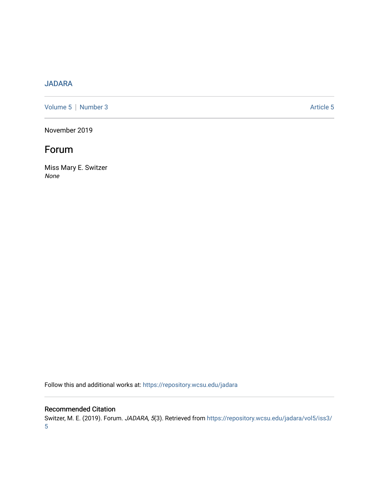### [JADARA](https://repository.wcsu.edu/jadara)

[Volume 5](https://repository.wcsu.edu/jadara/vol5) | [Number 3](https://repository.wcsu.edu/jadara/vol5/iss3) Article 5

November 2019

## Forum

Miss Mary E. Switzer None

Follow this and additional works at: [https://repository.wcsu.edu/jadara](https://repository.wcsu.edu/jadara?utm_source=repository.wcsu.edu%2Fjadara%2Fvol5%2Fiss3%2F5&utm_medium=PDF&utm_campaign=PDFCoverPages)

#### Recommended Citation

Switzer, M. E. (2019). Forum. JADARA, 5(3). Retrieved from [https://repository.wcsu.edu/jadara/vol5/iss3/](https://repository.wcsu.edu/jadara/vol5/iss3/5?utm_source=repository.wcsu.edu%2Fjadara%2Fvol5%2Fiss3%2F5&utm_medium=PDF&utm_campaign=PDFCoverPages) [5](https://repository.wcsu.edu/jadara/vol5/iss3/5?utm_source=repository.wcsu.edu%2Fjadara%2Fvol5%2Fiss3%2F5&utm_medium=PDF&utm_campaign=PDFCoverPages)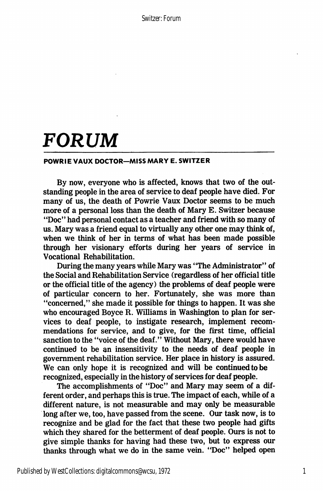Switzer: Forum

# FORUM

#### POWRIE VAUX DOCTOR—MISS MARY E. SWITZER

By now, everyone who is affected, knows that two of the out standing people in the area of service to deaf people have died. For many of us, the death of Powrie Vaux Doctor seems to be much more of a personal loss than the death of Mary E. Switzer because "Doc" had personal contact as a teacher and friend with so many of us. Mary was a friend equal to virtually any other one may think of, when we think of her in terms of what has been made possible through her visionary efforts during her years of service in Vocational Rehabilitation.

During the many years while Mary was "The Administrator" of the Social and Rehabilitation Service (regardless of her official title or the official title of the agency) the problems of deaf people were of particular concern to her. Fortunately, she was more than "concerned," she made it possible for things to happen. It was she who encouraged Boyce R. Williams in Washington to plan for ser vices to deaf people, to instigate research, implement recom mendations for service, and to give, for the first time, official sanction to the "voice of the deaf." Without Mary, there would have continued to be an insensitivity to the needs of deaf people in government rehabilitation service. Her place in history is assured. We can only hope it is recognized and will be continued to be recognized, especially in the history of services for deaf people.

The accomplishments of "Doc" and Mary may seem of a dif ferent order, and perhaps this is true. The impact of each, while of a different nature, is not measurable and may only be measurable long after we, too, have passed from the scene. Our task now, is to recognize and be glad for the fact that these two people had gifts which they shared for the betterment of deaf people. Ours is not to give simple thanks for having had these two, but to express our thanks through what we do in the same vein. "Doc" helped open